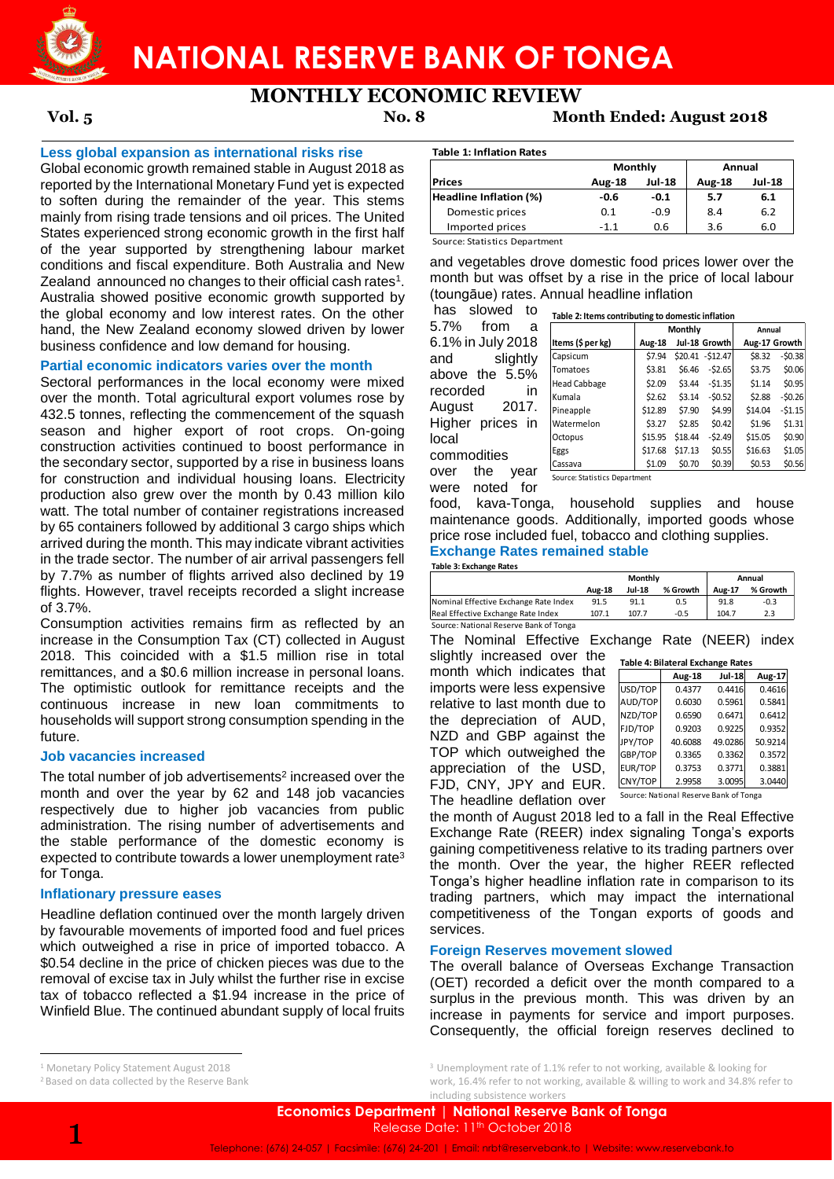

# **NATIONAL RESERVE BANK OF TONGA**

# **MONTHLY ECONOMIC REVIEW**

# **Vol. 5 No. 8 Month Ended: August 2018**

## **Less global expansion as international risks rise**

Global economic growth remained stable in August 2018 as reported by the International Monetary Fund yet is expected to soften during the remainder of the year. This stems mainly from rising trade tensions and oil prices. The United States experienced strong economic growth in the first half of the year supported by strengthening labour market conditions and fiscal expenditure. Both Australia and New Zealand announced no changes to their official cash rates<sup>1</sup>. Australia showed positive economic growth supported by the global economy and low interest rates. On the other hand, the New Zealand economy slowed driven by lower business confidence and low demand for housing.

# **Partial economic indicators varies over the month**

Sectoral performances in the local economy were mixed over the month. Total agricultural export volumes rose by 432.5 tonnes, reflecting the commencement of the squash season and higher export of root crops. On-going construction activities continued to boost performance in the secondary sector, supported by a rise in business loans for construction and individual housing loans. Electricity production also grew over the month by 0.43 million kilo watt. The total number of container registrations increased by 65 containers followed by additional 3 cargo ships which arrived during the month. This may indicate vibrant activities in the trade sector. The number of air arrival passengers fell by 7.7% as number of flights arrived also declined by 19 flights. However, travel receipts recorded a slight increase of 3.7%.

Consumption activities remains firm as reflected by an increase in the Consumption Tax (CT) collected in August 2018. This coincided with a \$1.5 million rise in total remittances, and a \$0.6 million increase in personal loans. The optimistic outlook for remittance receipts and the continuous increase in new loan commitments to households will support strong consumption spending in the future.

## **Job vacancies increased**

The total number of job advertisements<sup>2</sup> increased over the month and over the year by 62 and 148 job vacancies respectively due to higher job vacancies from public administration. The rising number of advertisements and the stable performance of the domestic economy is expected to contribute towards a lower unemployment rate<sup>3</sup> for Tonga.

# **Inflationary pressure eases**

Headline deflation continued over the month largely driven by favourable movements of imported food and fuel prices which outweighed a rise in price of imported tobacco. A \$0.54 decline in the price of chicken pieces was due to the removal of excise tax in July whilst the further rise in excise tax of tobacco reflected a \$1.94 increase in the price of Winfield Blue. The continued abundant supply of local fruits

#### **Table 1: Inflation Rates**

**Prices Aug-18 Jul-18 Aug-18 Jul-18 Headline Inflation (%) -0.6 -0.1 5.7 6.1** Domestic prices 0.1 -0.9 8.4 6.2 Imported prices -1.1 0.6 3.6 6.0 **Monthly Annual**

Source: Statistics Department

and vegetables drove domestic food prices lower over the month but was offset by a rise in the price of local labour (toungāue) rates. Annual headline inflation

**Table 2: Items contributing to domestic inflation**

has slowed to 5.7% from a 6.1% in July 2018 and slightly above the 5.5% recorded in August 2017. Higher prices in local commodities<br>over the year over the

| ì      |                     |               | Monthly |                   | Annual  |               |
|--------|---------------------|---------------|---------|-------------------|---------|---------------|
| 3      | Items (\$ per kg)   | <b>Aug-18</b> |         | Jul-18 Growth     |         | Aug-17 Growth |
| ı      | Capsicum            | \$7.94        |         | \$20.41 - \$12.47 | \$8.32  | $-50.38$      |
| .<br>C | Tomatoes            | \$3.81        | \$6.46  | $-52.65$          | \$3.75  | \$0.06        |
|        | <b>Head Cabbage</b> | \$2.09        | \$3.44  | $-51.35$          | \$1.14  | \$0.95        |
| ١      | Kumala              | \$2.62        | \$3.14  | $-50.52$          | \$2.88  | $-50.26$      |
| ä,     | Pineapple           | \$12.89       | \$7.90  | \$4.99            | \$14.04 | $-51.15$      |
| ١      | Watermelon          | \$3.27        | \$2.85  | \$0.42            | \$1.96  | \$1.31        |
|        | Octopus             | \$15.95       | \$18.44 | $-52.49$          | \$15.05 | \$0.90        |
|        | Eggs                | \$17.68       | \$17.13 | \$0.55            | \$16.63 | \$1.05        |
|        | Cassava             | \$1.09        | \$0.70  | \$0.39            | \$0.53  | \$0.56        |

were noted for

Source: Statistics Department

food, kava-Tonga, household supplies and house maintenance goods. Additionally, imported goods whose price rose included fuel, tobacco and clothing supplies. **Exchange Rates remained stable** 

| <b>Table 3: Exchange Rates</b>        |               |         |          |        |          |
|---------------------------------------|---------------|---------|----------|--------|----------|
|                                       |               | Monthly |          |        | Annual   |
|                                       | <b>Aug-18</b> | Jul-18  | % Growth | Aug-17 | % Growth |
| Nominal Effective Exchange Rate Index | 91.5          | 91.1    | 0.5      | 91.8   | $-0.3$   |
| Real Effective Exchange Rate Index    | 107.1         | 107.7   | $-0.5$   | 104.7  | 2.3      |

Source: National Reserve Bank of Tonga

The Nominal Effective Exchange Rate (NEER) index slightly increased over the

month which indicates that imports were less expensive relative to last month due to the depreciation of AUD, NZD and GBP against the TOP which outweighed the appreciation of the USD, FJD, CNY, JPY and EUR. The headline deflation over

| <b>Table 4: Bilateral Exchange Rates</b> |         |               |         |  |  |  |  |  |
|------------------------------------------|---------|---------------|---------|--|--|--|--|--|
|                                          | Aug-18  | <b>Jul-18</b> | Aug-17  |  |  |  |  |  |
| USD/TOP                                  | 0.4377  | 0.4416        | 0.4616  |  |  |  |  |  |
| AUD/TOP                                  | 0.6030  | 0.5961        | 0.5841  |  |  |  |  |  |
| NZD/TOP                                  | 0.6590  | 0.6471        | 0.6412  |  |  |  |  |  |
| FJD/TOP                                  | 0.9203  | 0.9225        | 0.9352  |  |  |  |  |  |
| JPY/TOP                                  | 40.6088 | 49.0286       | 50.9214 |  |  |  |  |  |
| GBP/TOP                                  | 0.3365  | 0.3362        | 0.3572  |  |  |  |  |  |
| EUR/TOP                                  | 0.3753  | 0.3771        | 0.3881  |  |  |  |  |  |
| CNY/TOP                                  | 2.9958  | 3.0095        | 3.0440  |  |  |  |  |  |
| Source: National Reserve Bank of Tonga   |         |               |         |  |  |  |  |  |

the month of August 2018 led to a fall in the Real Effective Exchange Rate (REER) index signaling Tonga's exports gaining competitiveness relative to its trading partners over the month. Over the year, the higher REER reflected Tonga's higher headline inflation rate in comparison to its

trading partners, which may impact the international competitiveness of the Tongan exports of goods and services.

### **Foreign Reserves movement slowed**

The overall balance of Overseas Exchange Transaction (OET) recorded a deficit over the month compared to a surplus in the previous month. This was driven by an increase in payments for service and import purposes. Consequently, the official foreign reserves declined to

1

 $\overline{a}$ 

<sup>1</sup> Monetary Policy Statement August 2018

<sup>2</sup> Based on data collected by the Reserve Bank

<sup>&</sup>lt;sup>3</sup> Unemployment rate of 1.1% refer to not working, available & looking for work, 16.4% refer to not working, available & willing to work and 34.8% refer to including subsistence workers